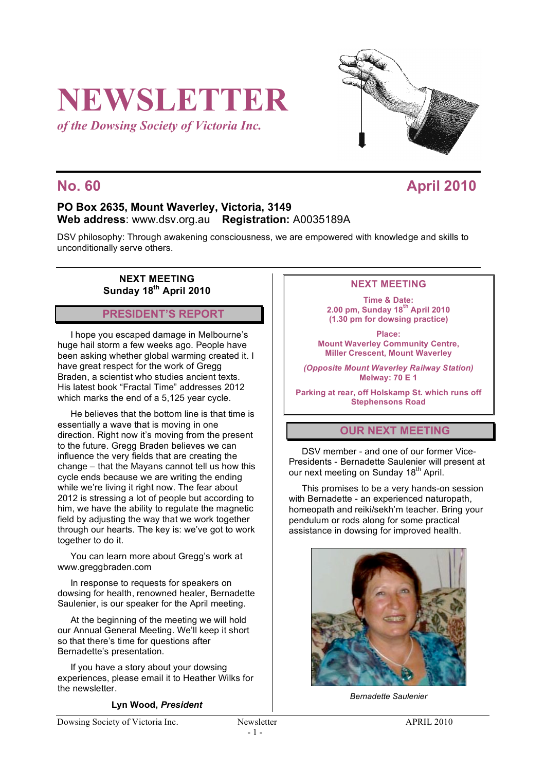# **NEWSLETTER**

*of the Dowsing Society of Victoria Inc.*



# **No. 60 April 2010**

# **PO Box 2635, Mount Waverley, Victoria, 3149 Web address**: www.dsv.org.au **Registration:** A0035189A

DSV philosophy: Through awakening consciousness, we are empowered with knowledge and skills to unconditionally serve others.

### **NEXT MEETING Sunday 18th April 2010**

**PRESIDENT'S REPORT**

I hope you escaped damage in Melbourne's huge hail storm a few weeks ago. People have been asking whether global warming created it. I have great respect for the work of Gregg Braden, a scientist who studies ancient texts. His latest book "Fractal Time" addresses 2012 which marks the end of a 5,125 year cycle.

He believes that the bottom line is that time is essentially a wave that is moving in one direction. Right now it's moving from the present to the future. Gregg Braden believes we can influence the very fields that are creating the change – that the Mayans cannot tell us how this cycle ends because we are writing the ending while we're living it right now. The fear about 2012 is stressing a lot of people but according to him, we have the ability to regulate the magnetic field by adjusting the way that we work together through our hearts. The key is: we've got to work together to do it.

You can learn more about Gregg's work at www.greggbraden.com

In response to requests for speakers on dowsing for health, renowned healer, Bernadette Saulenier, is our speaker for the April meeting.

At the beginning of the meeting we will hold our Annual General Meeting. We'll keep it short so that there's time for questions after Bernadette's presentation.

If you have a story about your dowsing experiences, please email it to Heather Wilks for the newsletter.

#### **Lyn Wood,** *President*

#### **NEXT MEETING**

**Time & Date: 2.00 pm, Sunday 18th April 2010 (1.30 pm for dowsing practice)**

**Place: Mount Waverley Community Centre, Miller Crescent, Mount Waverley**

*(Opposite Mount Waverley Railway Station)* **Melway: 70 E 1**

**Parking at rear, off Holskamp St. which runs off Stephensons Road**

# **OUR NEXT MEETING**

DSV member - and one of our former Vice-Presidents - Bernadette Saulenier will present at our next meeting on Sunday 18<sup>th</sup> April.

This promises to be a very hands-on session with Bernadette - an experienced naturopath, homeopath and reiki/sekh'm teacher. Bring your pendulum or rods along for some practical assistance in dowsing for improved health.



*Bernadette Saulenier*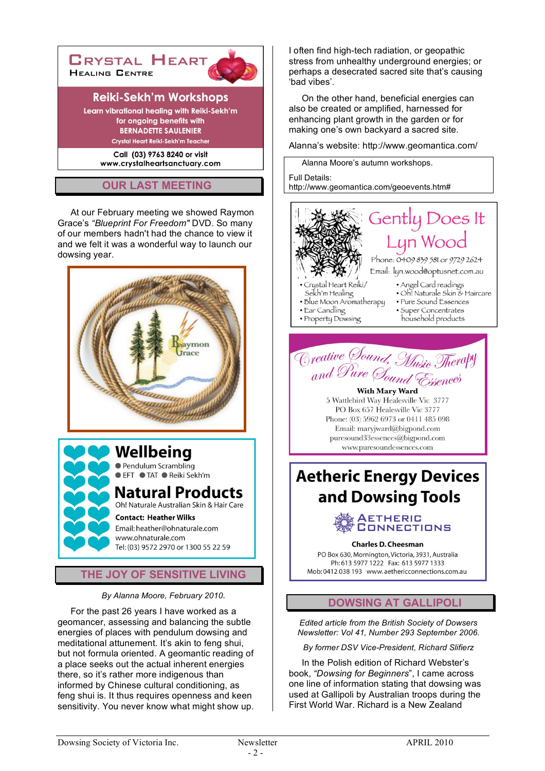

# **OUR LAST MEETING**

At our February meeting we showed Raymon Grace's *"Blueprint For Freedom"* DVD. So many of our members hadn't had the chance to view it and we felt it was a wonderful way to launch our dowsing year.





# **THE JOY OF SENSITIVE LIVING**

*By Alanna Moore, February 2010.*

For the past 26 years I have worked as a geomancer, assessing and balancing the subtle energies of places with pendulum dowsing and meditational attunement. It's akin to feng shui, but not formula oriented. A geomantic reading of a place seeks out the actual inherent energies there, so it's rather more indigenous than informed by Chinese cultural conditioning, as feng shui is. It thus requires openness and keen sensitivity. You never know what might show up.

I often find high-tech radiation, or geopathic stress from unhealthy underground energies; or perhaps a desecrated sacred site that's causing 'bad vibes'.

On the other hand, beneficial energies can also be created or amplified, harnessed for enhancing plant growth in the garden or for making one's own backyard a sacred site.

Alanna's website: http://www.geomantica.com/

Alanna Moore's autumn workshops. Full Details: http://www.geomantica.com/geoevents.htm#





With Mary Ward 5 Wattlebird Way Healesville Vic 3777 PO Box 657 Healesville Vic 3777 Phone: (03) 5962 6973 or 0411 485 098 Email: maryjward@bigpond.com  $puresound33$ essences@bigpond.com www.puresoundessences.com

# **Aetheric Energy Devices** and Dowsing Tools



**Charles D. Cheesman** 

PO Box 630, Mornington, Victoria, 3931, Australia Ph: 613 5977 1222 Fax: 613 5977 1333 Mob: 0412 038 193 www.aethericconnections.com.au

# **DOWSING AT GALLIPOLI**

*Edited article from the British Society of Dowsers Newsletter: Vol 41, Number 293 September 2006.*

*By former DSV Vice-President, Richard Slifierz*

In the Polish edition of Richard Webster's book, *"Dowsing for Beginners*", I came across one line of information stating that dowsing was used at Gallipoli by Australian troops during the First World War. Richard is a New Zealand